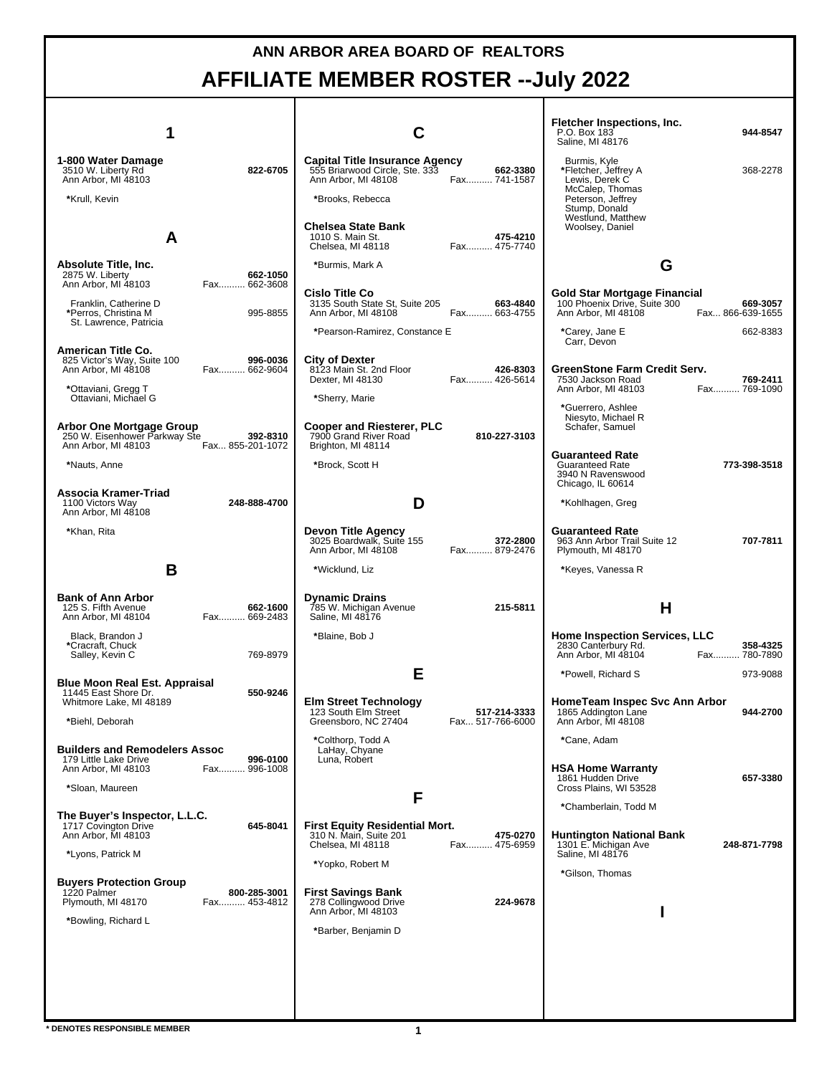## **ANN ARBOR AREA BOARD OF REALTORS AFFILIATE MEMBER ROSTER --July 2022**

|                                                                              |                              |                                                                                                |                                  | Fletcher Inspections, Inc.<br>P.O. Box 183<br>Saline, MI 48176              | 944-8547                     |
|------------------------------------------------------------------------------|------------------------------|------------------------------------------------------------------------------------------------|----------------------------------|-----------------------------------------------------------------------------|------------------------------|
| 1-800 Water Damage<br>3510 W. Liberty Rd<br>Ann Arbor, MI 48103              | 822-6705                     | <b>Capital Title Insurance Agency</b><br>555 Briarwood Circle, Ste. 333<br>Ann Arbor, MI 48108 | 662-3380<br>Fax 741-1587         | Burmis, Kyle<br>*Fletcher, Jeffrey A<br>Lewis, Derek C                      | 368-2278                     |
| *Krull, Kevin                                                                |                              | *Brooks, Rebecca                                                                               |                                  | McCalep, Thomas<br>Peterson, Jeffrey<br>Stump, Donald                       |                              |
| A                                                                            |                              | Chelsea State Bank<br>1010 S. Main St.<br>Chelsea, MI 48118                                    | 475-4210<br>Fax 475-7740         | Westlund, Matthew<br>Woolsey, Daniel                                        |                              |
| Absolute Title, Inc.<br>2875 W. Liberty                                      | 662-1050                     | *Burmis, Mark A                                                                                |                                  | G                                                                           |                              |
| Ann Arbor, MI 48103<br>Franklin, Catherine D                                 | Fax 662-3608                 | <b>Cislo Title Co</b><br>3135 South State St, Suite 205                                        | 663-4840                         | <b>Gold Star Mortgage Financial</b><br>100 Phoenix Drive, Suite 300         | 669-3057                     |
| *Perros, Christina M<br>St. Lawrence, Patricia                               | 995-8855                     | Ann Arbor, MI 48108<br>*Pearson-Ramirez, Constance E                                           | Fax 663-4755                     | Ann Arbor, MI 48108<br>*Carey, Jane E                                       | Fax 866-639-1655<br>662-8383 |
| American Title Co.                                                           |                              |                                                                                                |                                  | Carr, Devon                                                                 |                              |
| 825 Victor's Way, Suite 100<br>Ann Arbor, MI 48108                           | 996-0036<br>Fax 662-9604     | City of Dexter<br>8123 Main St. 2nd Floor<br>Dexter, MI 48130                                  | 426-8303<br>Fax 426-5614         | GreenStone Farm Credit Serv.<br>7530 Jackson Road                           | 769-2411<br>Fax 769-1090     |
| *Ottaviani, Gregg T<br>Ottaviani, Michael G                                  |                              | *Sherry, Marie                                                                                 |                                  | Ann Arbor, MI 48103<br>*Guerrero, Ashlee                                    |                              |
| Arbor One Mortgage Group<br>250 W. Eisenhower Parkway Ste                    | 392-8310                     | <b>Cooper and Riesterer, PLC</b><br>7900 Grand River Road                                      | 810-227-3103                     | Niesyto, Michael R<br>Schafer, Samuel                                       |                              |
| Ann Arbor, MI 48103<br>*Nauts, Anne                                          | Fax 855-201-1072             | Brighton, MI 48114<br>*Brock, Scott H                                                          |                                  | <b>Guaranteed Rate</b><br><b>Guaranteed Rate</b><br>3940 N Ravenswood       | 773-398-3518                 |
| Associa Kramer-Triad<br>1100 Victors Way                                     | 248-888-4700                 | D                                                                                              |                                  | Chicago, IL 60614<br>*Kohlhagen, Greg                                       |                              |
| Ann Arbor, MI 48108<br>*Khan, Rita                                           |                              | Devon Title Agency<br>3025 Boardwalk, Suite 155                                                | 372-2800                         | <b>Guaranteed Rate</b><br>963 Ann Arbor Trail Suite 12                      | 707-7811                     |
|                                                                              |                              | Ann Arbor, MI 48108                                                                            | Fax 879-2476                     | Plymouth, MI 48170                                                          |                              |
| B                                                                            |                              | *Wicklund, Liz                                                                                 |                                  | *Keyes, Vanessa R                                                           |                              |
| <b>Bank of Ann Arbor</b><br>125 S. Fifth Avenue<br>Ann Arbor, MI 48104       | 662-1600<br>Fax 669-2483     | <b>Dynamic Drains</b><br>785 W. Michigan Avenue<br>Saline, MI 48176                            | 215-5811                         | н                                                                           |                              |
| Black, Brandon J<br>*Cracraft, Chuck                                         |                              | *Blaine, Bob J                                                                                 |                                  | <b>Home Inspection Services, LLC</b><br>2830 Canterbury Rd.                 | 358-4325                     |
| Salley, Kevin C                                                              | 769-8979                     |                                                                                                |                                  | Ann Arbor, MI 48104                                                         | Fax 780-7890                 |
| <b>Blue Moon Real Est. Appraisal</b><br>11445 East Shore Dr.                 | 550-9246                     | Е                                                                                              |                                  | *Powell, Richard S                                                          | 973-9088                     |
| Whitmore Lake, MI 48189<br>*Biehl, Deborah                                   |                              | <b>Elm Street Technology</b><br>123 South Elm Street<br>Greensboro, NC 27404                   | 517-214-3333<br>Fax 517-766-6000 | HomeTeam Inspec Svc Ann Arbor<br>1865 Addington Lane<br>Ann Arbor, MI 48108 | 944-2700                     |
| <b>Builders and Remodelers Assoc</b>                                         |                              | *Colthorp, Todd A<br>LaHay, Chyane                                                             |                                  | *Cane, Adam                                                                 |                              |
| 179 Little Lake Drive<br>Ann Arbor, MI 48103                                 | 996-0100<br>Fax 996-1008     | Luna, Robert                                                                                   |                                  | <b>HSA Home Warranty</b><br>1861 Hudden Drive                               | 657-3380                     |
| *Sloan, Maureen                                                              |                              | F                                                                                              |                                  | Cross Plains, WI 53528<br>*Chamberlain, Todd M                              |                              |
| The Buyer's Inspector, L.L.C.<br>1717 Covington Drive<br>Ann Arbor, MI 48103 | 645-8041                     | <b>First Equity Residential Mort.</b><br>310 N. Main, Suite 201                                | 475-0270                         | <b>Huntington National Bank</b>                                             |                              |
| *Lyons, Patrick M                                                            |                              | Chelsea, MI 48118                                                                              | Fax 475-6959                     | 1301 E. Michigan Ave<br>Saline, MI 48176                                    | 248-871-7798                 |
| <b>Buyers Protection Group</b>                                               |                              | *Yopko, Robert M                                                                               |                                  | *Gilson, Thomas                                                             |                              |
| 1220 Palmer<br>Plymouth, MI 48170                                            | 800-285-3001<br>Fax 453-4812 | First Savings Bank<br>278 Collingwood Drive<br>Ann Arbor, MI 48103                             | 224-9678                         |                                                                             |                              |
| *Bowling, Richard L                                                          |                              | *Barber, Benjamin D                                                                            |                                  |                                                                             |                              |
|                                                                              |                              |                                                                                                |                                  |                                                                             |                              |
|                                                                              |                              |                                                                                                |                                  |                                                                             |                              |
|                                                                              |                              |                                                                                                |                                  |                                                                             |                              |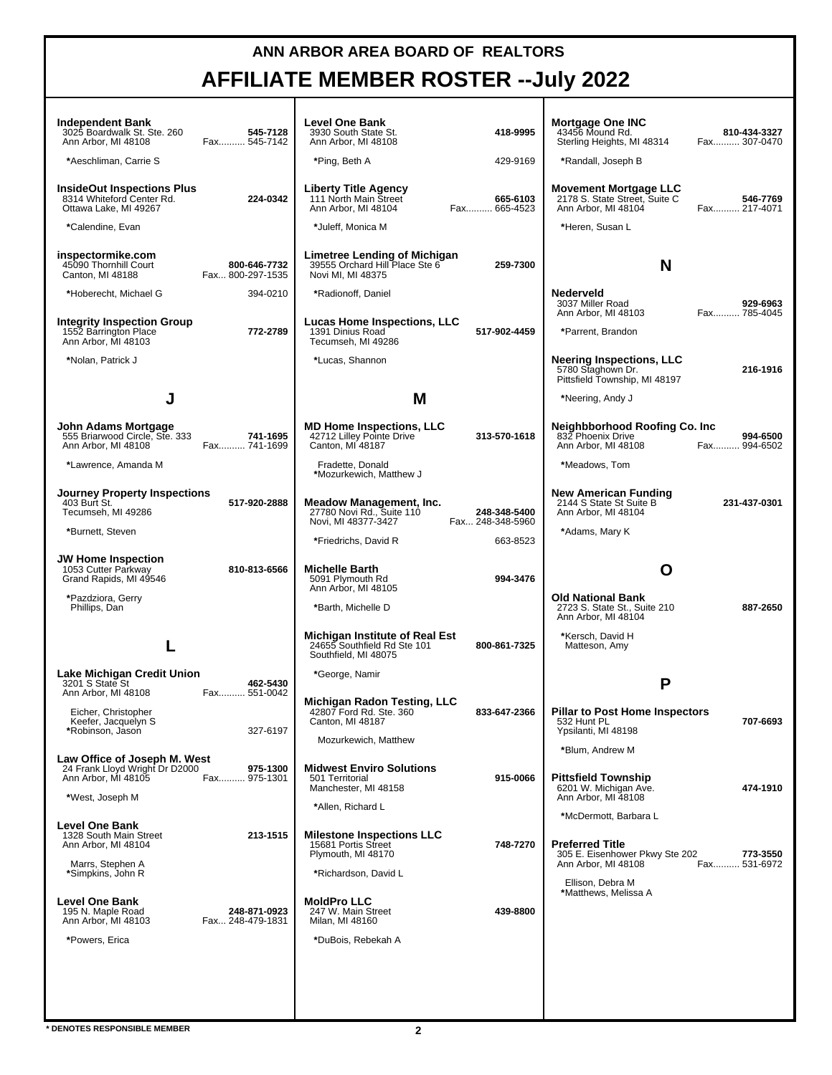## **ANN ARBOR AREA BOARD OF REALTORS AFFILIATE MEMBER ROSTER --July 2022**

| Independent Bank<br>3025 Boardwalk St. Ste. 260<br>Ann Arbor, MI 48108                  | 545-7128<br>Fax 545-7142         | <b>Level One Bank</b><br>3930 South State St.<br>Ann Arbor, MI 48108                  | 418-9995                         | <b>Mortgage One INC</b><br>43456 Mound Rd.<br>Sterling Heights, MI 48314              | 810-434-3327<br>Fax 307-0470 |
|-----------------------------------------------------------------------------------------|----------------------------------|---------------------------------------------------------------------------------------|----------------------------------|---------------------------------------------------------------------------------------|------------------------------|
| *Aeschliman, Carrie S                                                                   |                                  | *Ping, Beth A                                                                         | 429-9169                         | *Randall, Joseph B                                                                    |                              |
| <b>InsideOut Inspections Plus</b><br>8314 Whiteford Center Rd.<br>Ottawa Lake, MI 49267 | 224-0342                         | Liberty Title Agency<br>111 North Main Street<br>Ann Arbor, MI 48104                  | 665-6103<br>Fax 665-4523         | <b>Movement Mortgage LLC</b><br>2178 S. State Street, Suite C<br>Ann Arbor, MI 48104  | 546-7769<br>Fax 217-4071     |
| *Calendine, Evan                                                                        |                                  | *Juleff, Monica M                                                                     |                                  | *Heren, Susan L                                                                       |                              |
| inspectormike.com<br>45090 Thornhill Court<br>Canton, MI 48188                          | 800-646-7732<br>Fax 800-297-1535 | Limetree Lending of Michigan<br>39555 Orchard Hill Place Ste 6<br>Novi MI, MI 48375   | 259-7300                         | N                                                                                     |                              |
| *Hoberecht, Michael G                                                                   | 394-0210                         | *Radionoff, Daniel                                                                    |                                  | Nederveld<br>3037 Miller Road<br>Ann Arbor, MI 48103                                  | 929-6963<br>Fax 785-4045     |
| Integrity Inspection Group<br>1552 Barrington Place<br>Ann Arbor, MI 48103              | 772-2789                         | Lucas Home Inspections, LLC<br>1391 Dinius Road<br>Tecumseh, MI 49286                 | 517-902-4459                     | *Parrent, Brandon                                                                     |                              |
| *Nolan, Patrick J                                                                       |                                  | *Lucas, Shannon                                                                       |                                  | <b>Neering Inspections, LLC</b><br>5780 Staghown Dr.<br>Pittsfield Township, MI 48197 | 216-1916                     |
|                                                                                         |                                  | M                                                                                     |                                  | *Neering, Andy J                                                                      |                              |
| John Adams Mortgage<br>555 Briarwood Circle, Ste. 333<br>Ann Arbor, MI 48108            | 741-1695<br>Fax 741-1699         | <b>MD Home Inspections, LLC</b><br>42712 Lilley Pointe Drive<br>Canton, MI 48187      | 313-570-1618                     | Neighbborhood Roofing Co. Inc<br>832 Phoenix Drive<br>Ann Arbor, MI 48108             | 994-6500<br>Fax 994-6502     |
| *Lawrence, Amanda M                                                                     |                                  | Fradette, Donald<br>*Mozurkewich, Matthew J                                           |                                  | *Meadows, Tom                                                                         |                              |
| <b>Journey Property Inspections</b><br>403 Burt St.<br>Tecumseh, MI 49286               | 517-920-2888                     | Meadow Management, Inc.<br>27780 Novi Rd., Suite 110<br>Novi, MI 48377-3427           | 248-348-5400<br>Fax 248-348-5960 | <b>New American Funding</b><br>2144 S State St Suite B<br>Ann Arbor, MI 48104         | 231-437-0301                 |
| *Burnett, Steven                                                                        |                                  | *Friedrichs, David R                                                                  | 663-8523                         | *Adams, Mary K                                                                        |                              |
| <b>JW Home Inspection</b><br>1053 Cutter Parkway<br>Grand Rapids, MI 49546              | 810-813-6566                     | <b>Michelle Barth</b><br>5091 Plymouth Rd<br>Ann Arbor, MI 48105                      | 994-3476                         | O                                                                                     |                              |
| *Pazdziora, Gerry<br>Phillips, Dan                                                      |                                  | *Barth, Michelle D                                                                    |                                  | <b>Old National Bank</b><br>2723 S. State St., Suite 210<br>Ann Arbor, MI 48104       | 887-2650                     |
|                                                                                         |                                  | Michigan Institute of Real Est<br>24655 Southfield Rd Ste 101<br>Southfield, MI 48075 | 800-861-7325                     | *Kersch, David H<br>Matteson, Amy                                                     |                              |
| Lake Michigan Credit Union<br>3201 S State St                                           | 462-5430                         | *George, Namir                                                                        |                                  | P                                                                                     |                              |
| Ann Arbor, MI 48108<br>Eicher, Christopher<br>Keefer, Jacquelyn S<br>*Robinson, Jason   | Fax 551-0042<br>327-6197         | Michigan Radon Testing, LLC<br>42807 Ford Rd. Ste. 360<br>Canton, MI 48187            | 833-647-2366                     | <b>Pillar to Post Home Inspectors</b><br>532 Hunt PL<br>Ypsilanti, MI 48198           | 707-6693                     |
|                                                                                         |                                  | Mozurkewich, Matthew                                                                  |                                  | *Blum. Andrew M                                                                       |                              |
| Law Office of Joseph M. West<br>24 Frank Llovd Wright Dr D2000<br>Ann Arbor, MI 48105   | 975-1300<br>Fax 975-1301         | <b>Midwest Enviro Solutions</b><br>501 Territorial<br>Manchester, MI 48158            | 915-0066                         | <b>Pittsfield Township</b><br>6201 W. Michigan Ave.                                   | 474-1910                     |
| *West, Joseph M                                                                         |                                  | *Allen, Richard L                                                                     |                                  | Ann Arbor, MI 48108<br>*McDermott, Barbara L                                          |                              |
| <b>Level One Bank</b><br>1328 South Main Street<br>Ann Arbor. MI 48104                  | 213-1515                         | <b>Milestone Inspections LLC</b><br>15681 Portis Street<br>Plymouth, MI 48170         | 748-7270                         | <b>Preferred Title</b><br>305 E. Eisenhower Pkwy Ste 202                              | 773-3550                     |
| Marrs, Stephen A<br>*Simpkins, John R                                                   |                                  | *Richardson, David L                                                                  |                                  | Ann Arbor, MI 48108<br>Ellison. Debra M                                               | Fax 531-6972                 |
| <b>Level One Bank</b><br>195 N. Maple Road<br>Ann Arbor, MI 48103                       | 248-871-0923<br>Fax 248-479-1831 | <b>MoldPro LLC</b><br>247 W. Main Street<br>Milan, MI 48160                           | 439-8800                         | *Matthews, Melissa A                                                                  |                              |
| *Powers, Erica                                                                          |                                  | *DuBois, Rebekah A                                                                    |                                  |                                                                                       |                              |
|                                                                                         |                                  |                                                                                       |                                  |                                                                                       |                              |
|                                                                                         |                                  |                                                                                       |                                  |                                                                                       |                              |